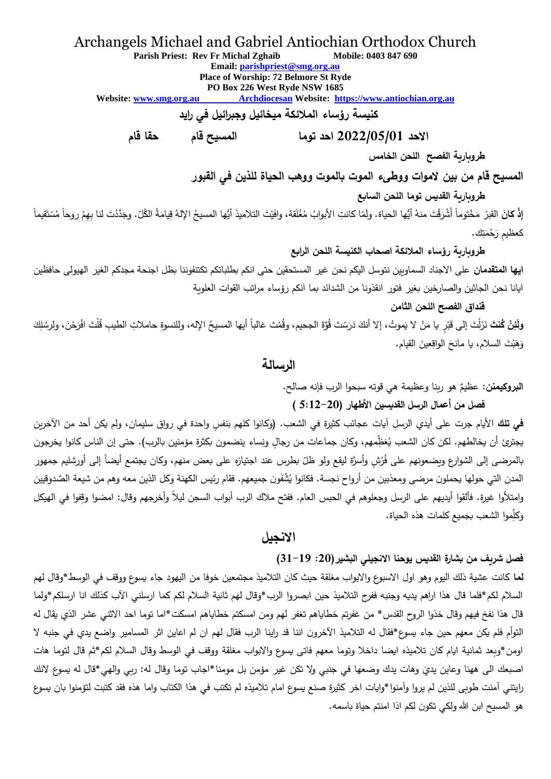## Archangels Michael and Gabriel Antiochian Orthodox Church

**Parish Priest: Rev Fr Michal Zghaib Mobile: 0403 847 690**

**Email: [parishpriest@smg.org.au](mailto:parishpriest@smg.org.au)**

**Place of Worship: 72 Belmore St Ryde**

**PO Box 226 West Ryde NSW 1685**

**Website: www.smg.org.au Archdiocesan Website: [https://www.antiochian.org.au](https://www.antiochian.org.au/)**

**كنيسة رؤساء المالئكة ميخائيل وجبرائيل في رايد** 

**االحد 2022/05/01 احد توما المسيح قام حقا قام**

**طروبارية الفصح اللحن الخامس**

**المسيح قام من بين الموات ووطىء الموت بالموت ووهب الحياة للذين في القبور**

**طروبارية القديس توما اللحن السابع**

إ**ذْ كانَ القب**رُ مَخْتوماً أَشْرَقْتَ منهُ أيُها الحياة. ولَمّا كانتِ الأبوابُ مُغْلَقة، وافَيْتَ التلاميذَ أيُها المسيحُ الإلهُ قِيامَةُ الكُلّ. وجَدَّدْتَ لنا بِهِمْ روحاً مُسْتَقيماً ْ <u>ّ</u> <u>ٰ</u> ْ ْ َ َ كعظيمِ رَحْمَتِك<mark>.</mark> ْ

**طروبارية رؤساء المالئكة اصحاب الكنيسة اللحن الرابع ايها المتقدمان** على االجناد السماويين نتوسل اليكم نحن غير المستحقين حتى انكم بطلباتكم تكتنفوننا بظل اجنحة مجدكم الغير الهيولى حافظين ايانا نحن الجاثين والصارخين بغير فتور انقذونا من الشدائد بما انكم رؤساء مراتب القوات العلوية

**قنداق الفصح اللحن الثامن** 

و**لَئِنْ كُنتَ** نَزَلْتَ إلى قَبْرٍ يا مَنْ لا يَموتُ، إلا أنكَ دَرَسْتَ قُوَّةَ الجحيم، وقُمْتَ غالباً أيها المسيحُ الإله، وللنسوةِ حاملاتِ الطيبِ قُلْتَ افْرَحْنَ، ولِرسُلِكَ ا<br>ا ٔ **ٔ** ً<br>ا ْ <u>ّ</u> <sub>َ</sub>وَهَبْتَ السلام، يا مانحَ الواقِعينَ القيام.  $\overline{a}$ َ

## **الرسالة**

ا**لبروكيمنن:** عظيمٌ هو ربنا وعظيمة هي قوته سبحوا الرب فإنه صالح.<br>.

**فصل من أعمال الرسل القديسين األطهار ) 5:12-20 )**

**في تل**ك الأيام جرت على أيدي الرسل آيات عجائب كثيرة في الشعب. (وكانوا كلهم بنفس واحدة في رواق سليمان، ولم يكن أحد من الآخرين يجترئ أن يخالطهم. لكن كان الشعب يُعَظِّمهم، وكان جماعات من رجالٍ ونساء ينضمون بكثرة مؤمنين بالرب). حتى إن الناس كانوا يخرجون َ بالمرضى إلى الشوارع ويضعونهم على فُرْشٍ وأسرَّة ليقع ولو ظلّ بطرس عند اجتيازه على بعض منهم، وكان يجتمع أيضاً إلى أورشليم جمهور .<br>ا المدن التي حولها يحملون مرضى ومعذبين من أرواح نجسة. فكانوا يُشْفَون جميعهم. فقام رئيس الكهنة وكل الذين معه وهم من شيعة الصَّدوقيين وامتألوا غيرة. فألقوا أيديهم على الرسل وجعلوهم في الحبس العام. ففتح مالك الرب أبواب السجن ليالً وأخرجهم وقال: امضوا وِقفوا في الهيكل موا الشعب بجميع كلمات هذه الحياة. ِ وكّل

#### **االنجيل**

**فصل شريف من بشارة القديس يوحنا االنجيلي البشير):20 31-19(**

**لما** كانت عشية ذلك اليوم وهو اول االسبوع واالبواب مغلقة حيث كان التالميذ مجتمعين خوفا من اليهود جاء يسوع ووقف في الوسط\*وقال لهم السالم لكم\*فلما قال هذا اراهم يديه وجنبه ففرح التالميذ حين ابصروا الرب\*وقال لهم ثانية السالم لكم كما ارسلني اآلب كذلك انا ارسلكم\*ولما قال هذا نفخ فيهم وقال خذوا الروح القدس\* من غفرتم خطاياهم تغفر لهم ومن امسكتم خطاياهم امسكت\*اما توما احد الاثني عشر الذي يقال له التوأم فلم يكن معهم حين جاء يسوع\*فقال له التالميذ اآلخرون اننا قد ارينا الرب فقال لهم ان لم اعاين اثر المسامير واضع يدي في جنبه ال اومن\*وبعد ثمانية ايام كان تالميذه ايضا داخال وتوما معهم فاتى يسوع واالبواب مغلقة ووقف في الوسط وقال السالم لكم\*ثم قال لتوما هات اصبعك الى ههنا وعاين يديَ وهات يدك وضعها في جنبي ولا تكن غير مؤمن بل مومنا \*اجاب توما وقال له: ربي والهي\*قال له يسوع لانك َ رايتني آمنت طوبى للذين لم يروا وآمنوا\*وايات اخر كثيرة صنع يسوع امام تالميذه لم تكتب في هذا الكتاب واما هذه فقد كتبت لتؤمنوا بان يسوع هو المسيح ابن الله ولكي تكون لكم اذا امنتم حياة باسمه.